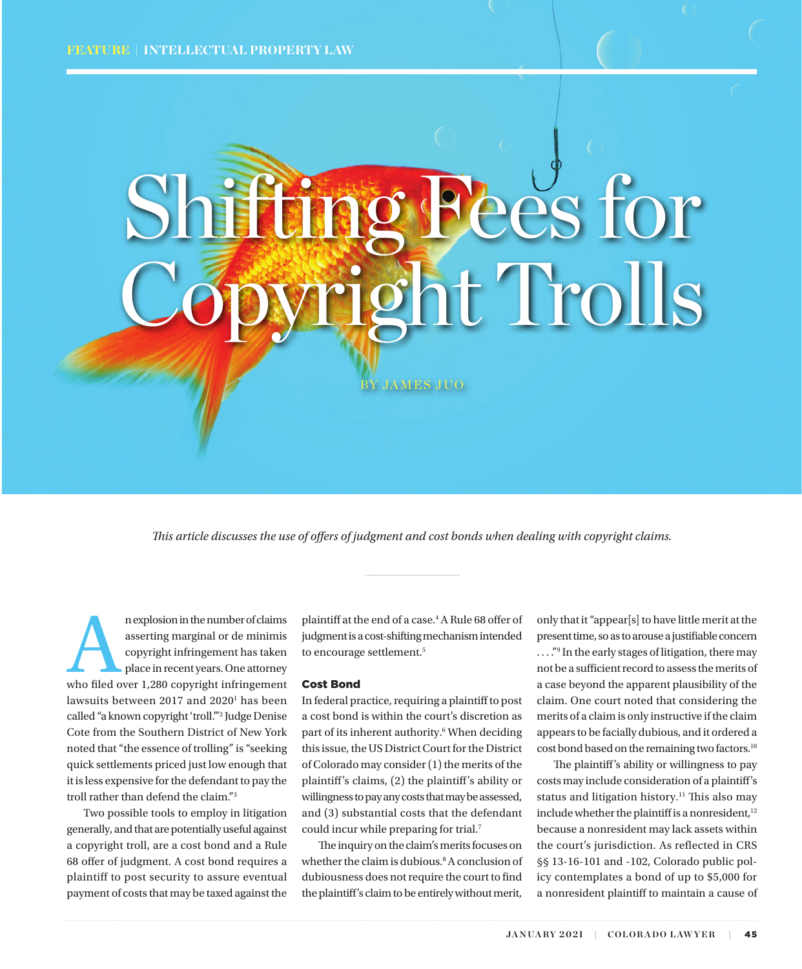# sees for The Trolls

BY JAMES JUO

*This article discusses the use of offers of judgment and cost bonds when dealing with copyright claims.* 

n explosion in the number of claims<br>
asserting marginal or de minimis<br>
copyright infringement has taken<br>
place in recent years. One attorney<br>
who filed over 1,280 copyright infringement asserting marginal or de minimis copyright infringement has taken place in recent years. One attorney lawsuits between 2017 and 2020<sup>1</sup> has been called "a known copyright 'troll.'"2 Judge Denise Cote from the Southern District of New York noted that "the essence of trolling" is "seeking quick settlements priced just low enough that it is less expensive for the defendant to pay the troll rather than defend the claim."3

Two possible tools to employ in litigation generally, and that are potentially useful against a copyright troll, are a cost bond and a Rule 68 offer of judgment. A cost bond requires a plaintiff to post security to assure eventual payment of costs that may be taxed against the

plaintiff at the end of a case.<sup>4</sup> A Rule 68 offer of judgment is a cost-shifting mechanism intended to encourage settlement.<sup>5</sup>

#### Cost Bond

In federal practice, requiring a plaintiff to post a cost bond is within the court's discretion as part of its inherent authority.<sup>6</sup> When deciding this issue, the US District Court for the District of Colorado may consider (1) the merits of the plaintiff's claims, (2) the plaintiff's ability or willingness to pay any costs that may be assessed, and (3) substantial costs that the defendant could incur while preparing for trial.7

The inquiry on the claim's merits focuses on whether the claim is dubious.<sup>8</sup> A conclusion of dubiousness does not require the court to find the plaintiff's claim to be entirely without merit,

only that it "appear[s] to have little merit at the present time, so as to arouse a justifiable concern ...."<sup>9</sup> In the early stages of litigation, there may not be a sufficient record to assess the merits of a case beyond the apparent plausibility of the claim. One court noted that considering the merits of a claim is only instructive if the claim appears to be facially dubious, and it ordered a cost bond based on the remaining two factors.10

The plaintiff's ability or willingness to pay costs may include consideration of a plaintiff's status and litigation history.<sup>11</sup> This also may include whether the plaintiff is a nonresident,<sup>12</sup> because a nonresident may lack assets within the court's jurisdiction. As reflected in CRS §§ 13-16-101 and -102, Colorado public policy contemplates a bond of up to \$5,000 for a nonresident plaintiff to maintain a cause of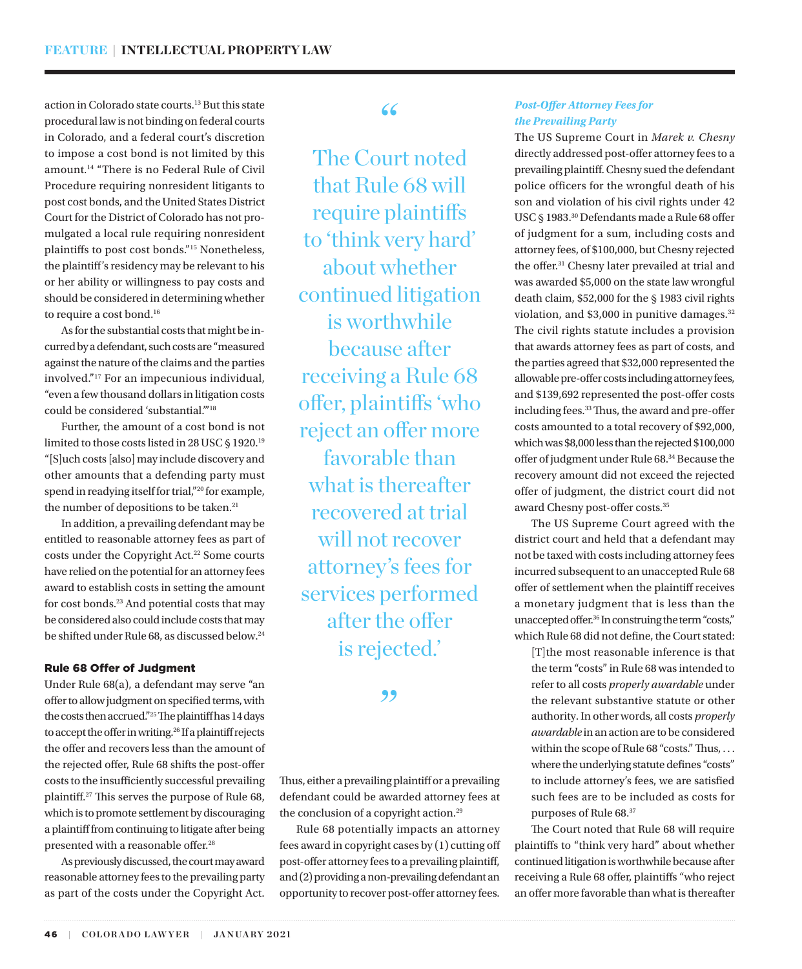action in Colorado state courts.<sup>13</sup> But this state procedural law is not binding on federal courts in Colorado, and a federal court's discretion to impose a cost bond is not limited by this amount.14 "There is no Federal Rule of Civil Procedure requiring nonresident litigants to post cost bonds, and the United States District Court for the District of Colorado has not promulgated a local rule requiring nonresident plaintiffs to post cost bonds."15 Nonetheless, the plaintiff's residency may be relevant to his or her ability or willingness to pay costs and should be considered in determining whether to require a cost bond.<sup>16</sup>

As for the substantial costs that might be incurred by a defendant, such costs are "measured against the nature of the claims and the parties involved."17 For an impecunious individual, "even a few thousand dollars in litigation costs could be considered 'substantial.'"18

Further, the amount of a cost bond is not limited to those costs listed in 28 USC § 1920.<sup>19</sup> "[S]uch costs [also] may include discovery and other amounts that a defending party must spend in readying itself for trial,"20 for example, the number of depositions to be taken.<sup>21</sup>

In addition, a prevailing defendant may be entitled to reasonable attorney fees as part of costs under the Copyright Act.<sup>22</sup> Some courts have relied on the potential for an attorney fees award to establish costs in setting the amount for cost bonds.23 And potential costs that may be considered also could include costs that may be shifted under Rule 68, as discussed below.24

#### Rule 68 Offer of Judgment

Under Rule 68(a), a defendant may serve "an offer to allow judgment on specified terms, with the costs then accrued."25 The plaintiff has 14 days to accept the offer in writing.<sup>26</sup> If a plaintiff rejects the offer and recovers less than the amount of the rejected offer, Rule 68 shifts the post-offer costs to the insufficiently successful prevailing plaintiff.27 This serves the purpose of Rule 68, which is to promote settlement by discouraging a plaintiff from continuing to litigate after being presented with a reasonable offer.<sup>28</sup>

As previously discussed, the court may award reasonable attorney fees to the prevailing party as part of the costs under the Copyright Act.

# "

The Court noted that Rule 68 will require plaintiffs to 'think very hard' about whether continued litigation is worthwhile because after receiving a Rule 68 offer, plaintiffs 'who reject an offer more favorable than what is thereafter recovered at trial will not recover attorney's fees for services performed after the offer is rejected.'

## "

Thus, either a prevailing plaintiff or a prevailing defendant could be awarded attorney fees at the conclusion of a copyright action.<sup>29</sup>

Rule 68 potentially impacts an attorney fees award in copyright cases by (1) cutting off post-offer attorney fees to a prevailing plaintiff, and (2) providing a non-prevailing defendant an opportunity to recover post-offer attorney fees.

#### *Post-Offer Attorney Fees for the Prevailing Party*

The US Supreme Court in *Marek v. Chesny* directly addressed post-offer attorney fees to a prevailing plaintiff. Chesny sued the defendant police officers for the wrongful death of his son and violation of his civil rights under 42 USC § 1983.30 Defendants made a Rule 68 offer of judgment for a sum, including costs and attorney fees, of \$100,000, but Chesny rejected the offer.31 Chesny later prevailed at trial and was awarded \$5,000 on the state law wrongful death claim, \$52,000 for the § 1983 civil rights violation, and \$3,000 in punitive damages.<sup>32</sup> The civil rights statute includes a provision that awards attorney fees as part of costs, and the parties agreed that \$32,000 represented the allowable pre-offer costs including attorney fees, and \$139,692 represented the post-offer costs including fees.33 Thus, the award and pre-offer costs amounted to a total recovery of \$92,000, which was \$8,000 less than the rejected \$100,000 offer of judgment under Rule 68.34 Because the recovery amount did not exceed the rejected offer of judgment, the district court did not award Chesny post-offer costs.35

The US Supreme Court agreed with the district court and held that a defendant may not be taxed with costs including attorney fees incurred subsequent to an unaccepted Rule 68 offer of settlement when the plaintiff receives a monetary judgment that is less than the unaccepted offer.36 In construing the term "costs," which Rule 68 did not define, the Court stated:

[T]the most reasonable inference is that the term "costs" in Rule 68 was intended to refer to all costs *properly awardable* under the relevant substantive statute or other authority. In other words, all costs *properly awardable* in an action are to be considered within the scope of Rule 68 "costs." Thus, ... where the underlying statute defines "costs" to include attorney's fees, we are satisfied such fees are to be included as costs for purposes of Rule 68.37

The Court noted that Rule 68 will require plaintiffs to "think very hard" about whether continued litigation is worthwhile because after receiving a Rule 68 offer, plaintiffs "who reject an offer more favorable than what is thereafter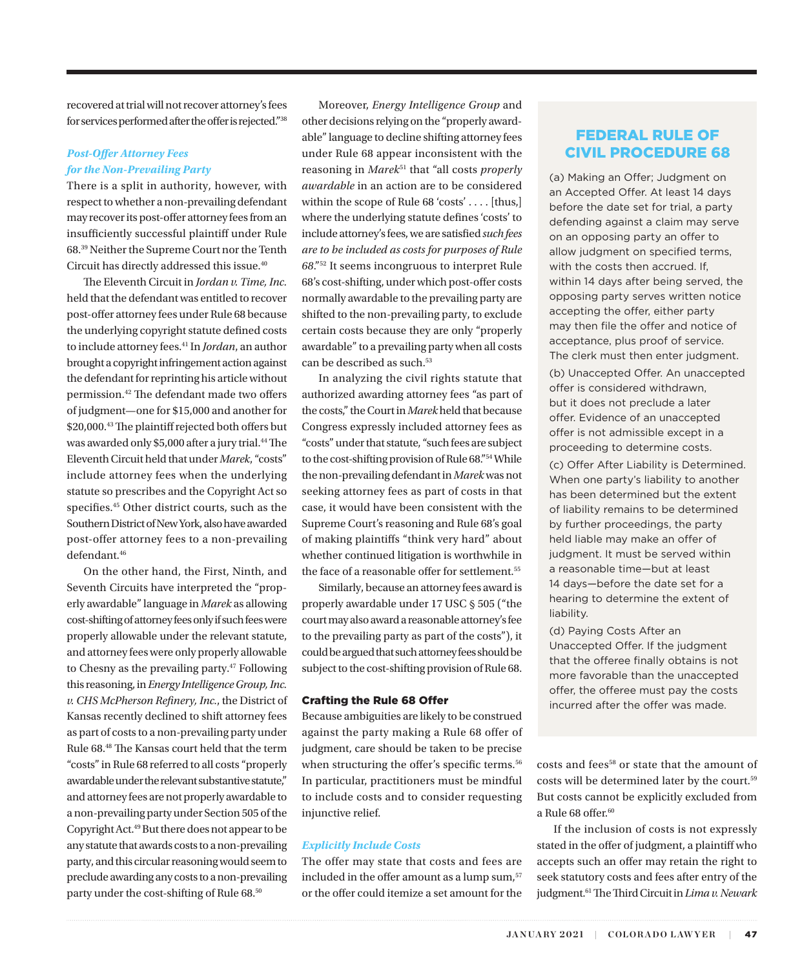recovered at trial will not recover attorney's fees for services performed after the offer is rejected."38

### *Post-Offer Attorney Fees for the Non-Prevailing Party*

There is a split in authority, however, with respect to whether a non-prevailing defendant may recover its post-offer attorney fees from an insufficiently successful plaintiff under Rule 68.39 Neither the Supreme Court nor the Tenth Circuit has directly addressed this issue.40

The Eleventh Circuit in *Jordan v. Time, Inc.* held that the defendant was entitled to recover post-offer attorney fees under Rule 68 because the underlying copyright statute defined costs to include attorney fees.41 In *Jordan*, an author brought a copyright infringement action against the defendant for reprinting his article without permission.42 The defendant made two offers of judgment—one for \$15,000 and another for \$20,000.43 The plaintiff rejected both offers but was awarded only \$5,000 after a jury trial.<sup>44</sup> The Eleventh Circuit held that under *Marek*, "costs" include attorney fees when the underlying statute so prescribes and the Copyright Act so specifies.45 Other district courts, such as the Southern District of New York, also have awarded post-offer attorney fees to a non-prevailing defendant.<sup>46</sup>

On the other hand, the First, Ninth, and Seventh Circuits have interpreted the "properly awardable" language in *Marek* as allowing cost-shifting of attorney fees only if such fees were properly allowable under the relevant statute, and attorney fees were only properly allowable to Chesny as the prevailing party.47 Following this reasoning, in *Energy Intelligence Group, Inc. v. CHS McPherson Refinery, Inc.*, the District of Kansas recently declined to shift attorney fees as part of costs to a non-prevailing party under Rule 68.48 The Kansas court held that the term "costs" in Rule 68 referred to all costs "properly awardable under the relevant substantive statute," and attorney fees are not properly awardable to a non-prevailing party under Section 505 of the Copyright Act.49 But there does not appear to be any statute that awards costs to a non-prevailing party, and this circular reasoning would seem to preclude awarding any costs to a non-prevailing party under the cost-shifting of Rule 68.<sup>50</sup>

Moreover, *Energy Intelligence Group* and other decisions relying on the "properly awardable" language to decline shifting attorney fees under Rule 68 appear inconsistent with the reasoning in *Marek*51 that "all costs *properly awardable* in an action are to be considered within the scope of Rule 68 'costs' . . . . [thus,] where the underlying statute defines 'costs' to include attorney's fees, we are satisfied *such fees are to be included as costs for purposes of Rule 68*."52 It seems incongruous to interpret Rule 68's cost-shifting, under which post-offer costs normally awardable to the prevailing party are shifted to the non-prevailing party, to exclude certain costs because they are only "properly awardable" to a prevailing party when all costs can be described as such.<sup>53</sup>

In analyzing the civil rights statute that authorized awarding attorney fees "as part of the costs," the Court in *Marek* held that because Congress expressly included attorney fees as "costs" under that statute, "such fees are subject to the cost-shifting provision of Rule 68."54 While the non-prevailing defendant in *Marek* was not seeking attorney fees as part of costs in that case, it would have been consistent with the Supreme Court's reasoning and Rule 68's goal of making plaintiffs "think very hard" about whether continued litigation is worthwhile in the face of a reasonable offer for settlement.<sup>55</sup>

Similarly, because an attorney fees award is properly awardable under 17 USC § 505 ("the court may also award a reasonable attorney's fee to the prevailing party as part of the costs"), it could be argued that such attorney fees should be subject to the cost-shifting provision of Rule 68.

#### Crafting the Rule 68 Offer

Because ambiguities are likely to be construed against the party making a Rule 68 offer of judgment, care should be taken to be precise when structuring the offer's specific terms.<sup>56</sup> In particular, practitioners must be mindful to include costs and to consider requesting injunctive relief.

#### *Explicitly Include Costs*

The offer may state that costs and fees are included in the offer amount as a lump sum,<sup>57</sup> or the offer could itemize a set amount for the

# FEDERAL RULE OF CIVIL PROCEDURE 68

(a) Making an Offer; Judgment on an Accepted Offer. At least 14 days before the date set for trial, a party defending against a claim may serve on an opposing party an offer to allow judgment on specified terms, with the costs then accrued. If, within 14 days after being served, the opposing party serves written notice accepting the offer, either party may then file the offer and notice of acceptance, plus proof of service. The clerk must then enter judgment.

(b) Unaccepted Offer. An unaccepted offer is considered withdrawn, but it does not preclude a later offer. Evidence of an unaccepted offer is not admissible except in a proceeding to determine costs.

(c) Offer After Liability is Determined. When one party's liability to another has been determined but the extent of liability remains to be determined by further proceedings, the party held liable may make an offer of judgment. It must be served within a reasonable time—but at least 14 days—before the date set for a hearing to determine the extent of liability.

(d) Paying Costs After an Unaccepted Offer. If the judgment that the offeree finally obtains is not more favorable than the unaccepted offer, the offeree must pay the costs incurred after the offer was made.

costs and fees<sup>58</sup> or state that the amount of costs will be determined later by the court.59 But costs cannot be explicitly excluded from a Rule 68 offer.<sup>60</sup>

If the inclusion of costs is not expressly stated in the offer of judgment, a plaintiff who accepts such an offer may retain the right to seek statutory costs and fees after entry of the judgment.61 The Third Circuit in *Lima v. Newark*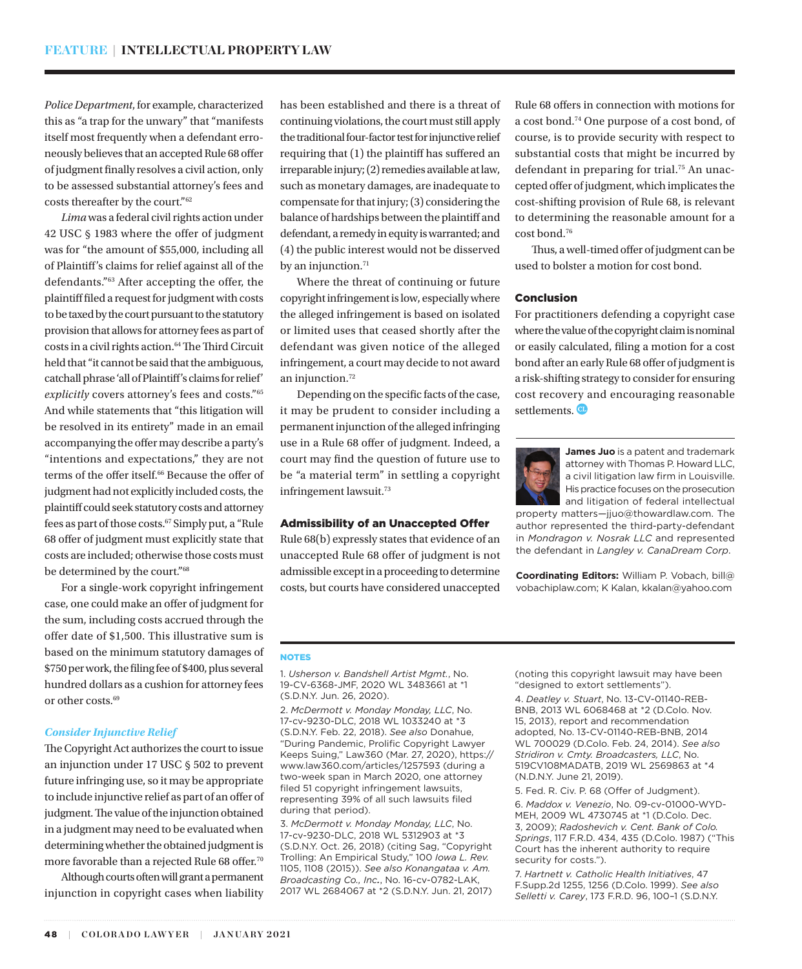*Police Department*, for example, characterized this as "a trap for the unwary" that "manifests itself most frequently when a defendant erroneously believes that an accepted Rule 68 offer of judgment finally resolves a civil action, only to be assessed substantial attorney's fees and costs thereafter by the court."62

*Lima* was a federal civil rights action under 42 USC § 1983 where the offer of judgment was for "the amount of \$55,000, including all of Plaintiff's claims for relief against all of the defendants."63 After accepting the offer, the plaintiff filed a request for judgment with costs to be taxed by the court pursuant to the statutory provision that allows for attorney fees as part of costs in a civil rights action.<sup>64</sup> The Third Circuit held that "it cannot be said that the ambiguous, catchall phrase 'all of Plaintiff's claims for relief' *explicitly* covers attorney's fees and costs."65 And while statements that "this litigation will be resolved in its entirety" made in an email accompanying the offer may describe a party's "intentions and expectations," they are not terms of the offer itself.<sup>66</sup> Because the offer of judgment had not explicitly included costs, the plaintiff could seek statutory costs and attorney fees as part of those costs.67 Simply put, a "Rule 68 offer of judgment must explicitly state that costs are included; otherwise those costs must be determined by the court."68

For a single-work copyright infringement case, one could make an offer of judgment for the sum, including costs accrued through the offer date of \$1,500. This illustrative sum is based on the minimum statutory damages of \$750 per work, the filing fee of \$400, plus several hundred dollars as a cushion for attorney fees or other costs.<sup>69</sup>

#### *Consider Injunctive Relief*

The Copyright Act authorizes the court to issue an injunction under 17 USC § 502 to prevent future infringing use, so it may be appropriate to include injunctive relief as part of an offer of judgment. The value of the injunction obtained in a judgment may need to be evaluated when determining whether the obtained judgment is more favorable than a rejected Rule 68 offer.<sup>70</sup>

Although courts often will grant a permanent injunction in copyright cases when liability has been established and there is a threat of continuing violations, the court must still apply the traditional four-factor test for injunctive relief requiring that (1) the plaintiff has suffered an irreparable injury; (2) remedies available at law, such as monetary damages, are inadequate to compensate for that injury; (3) considering the balance of hardships between the plaintiff and defendant, a remedy in equity is warranted; and (4) the public interest would not be disserved by an injunction.<sup>71</sup>

Where the threat of continuing or future copyright infringement is low, especially where the alleged infringement is based on isolated or limited uses that ceased shortly after the defendant was given notice of the alleged infringement, a court may decide to not award an injunction.72

Depending on the specific facts of the case, it may be prudent to consider including a permanent injunction of the alleged infringing use in a Rule 68 offer of judgment. Indeed, a court may find the question of future use to be "a material term" in settling a copyright infringement lawsuit.<sup>73</sup>

#### Admissibility of an Unaccepted Offer

Rule 68(b) expressly states that evidence of an unaccepted Rule 68 offer of judgment is not admissible except in a proceeding to determine costs, but courts have considered unaccepted Rule 68 offers in connection with motions for a cost bond.74 One purpose of a cost bond, of course, is to provide security with respect to substantial costs that might be incurred by defendant in preparing for trial.75 An unaccepted offer of judgment, which implicates the cost-shifting provision of Rule 68, is relevant to determining the reasonable amount for a cost bond.76

Thus, a well-timed offer of judgment can be used to bolster a motion for cost bond.

#### Conclusion

For practitioners defending a copyright case where the value of the copyright claim is nominal or easily calculated, filing a motion for a cost bond after an early Rule 68 offer of judgment is a risk-shifting strategy to consider for ensuring cost recovery and encouraging reasonable settlements.<sup>00</sup>



**James Juo** is a patent and trademark attorney with Thomas P. Howard LLC, a civil litigation law firm in Louisville. His practice focuses on the prosecution and litigation of federal intellectual

property matters—jjuo@thowardlaw.com. The author represented the third-party-defendant in *Mondragon v. Nosrak LLC* and represented the defendant in *Langley v. CanaDream Corp*.

**Coordinating Editors:** William P. Vobach, bill@ vobachiplaw.com; K Kalan, kkalan@yahoo.com

#### NOTES

1. *Usherson v. Bandshell Artist Mgmt.*, No. 19-CV-6368-JMF, 2020 WL 3483661 at \*1 (S.D.N.Y. Jun. 26, 2020).

2. *McDermott v. Monday Monday, LLC*, No. 17-cv-9230-DLC, 2018 WL 1033240 at \*3 (S.D.N.Y. Feb. 22, 2018). *See also* Donahue, "During Pandemic, Prolific Copyright Lawyer Keeps Suing," Law360 (Mar. 27, 2020), https:// www.law360.com/articles/1257593 (during a two-week span in March 2020, one attorney filed 51 copyright infringement lawsuits, representing 39% of all such lawsuits filed during that period).

3. *McDermott v. Monday Monday, LLC*, No. 17-cv-9230-DLC, 2018 WL 5312903 at \*3 (S.D.N.Y. Oct. 26, 2018) (citing Sag, "Copyright Trolling: An Empirical Study," 100 *Iowa L. Rev.* 1105, 1108 (2015)). *See also Konangataa v. Am. Broadcasting Co., Inc.*, No. 16-cv-0782-LAK, 2017 WL 2684067 at \*2 (S.D.N.Y. Jun. 21, 2017) (noting this copyright lawsuit may have been "designed to extort settlements").

4. *Deatley v. Stuart*, No. 13-CV-01140-REB-BNB, 2013 WL 6068468 at \*2 (D.Colo. Nov. 15, 2013), report and recommendation adopted, No. 13-CV-01140-REB-BNB, 2014 WL 700029 (D.Colo. Feb. 24, 2014). *See also Stridiron v. Cmty. Broadcasters, LLC*, No. 519CV108MADATB, 2019 WL 2569863 at \*4 (N.D.N.Y. June 21, 2019).

5. Fed. R. Civ. P. 68 (Offer of Judgment). 6. *Maddox v. Venezio*, No. 09-cv-01000-WYD-MEH, 2009 WL 4730745 at \*1 (D.Colo. Dec. 3, 2009); *Radoshevich v. Cent. Bank of Colo. Springs*, 117 F.R.D. 434, 435 (D.Colo. 1987) ("This Court has the inherent authority to require security for costs.").

7. *Hartnett v. Catholic Health Initiatives*, 47 F.Supp.2d 1255, 1256 (D.Colo. 1999). *See also Selletti v. Carey*, 173 F.R.D. 96, 100–1 (S.D.N.Y.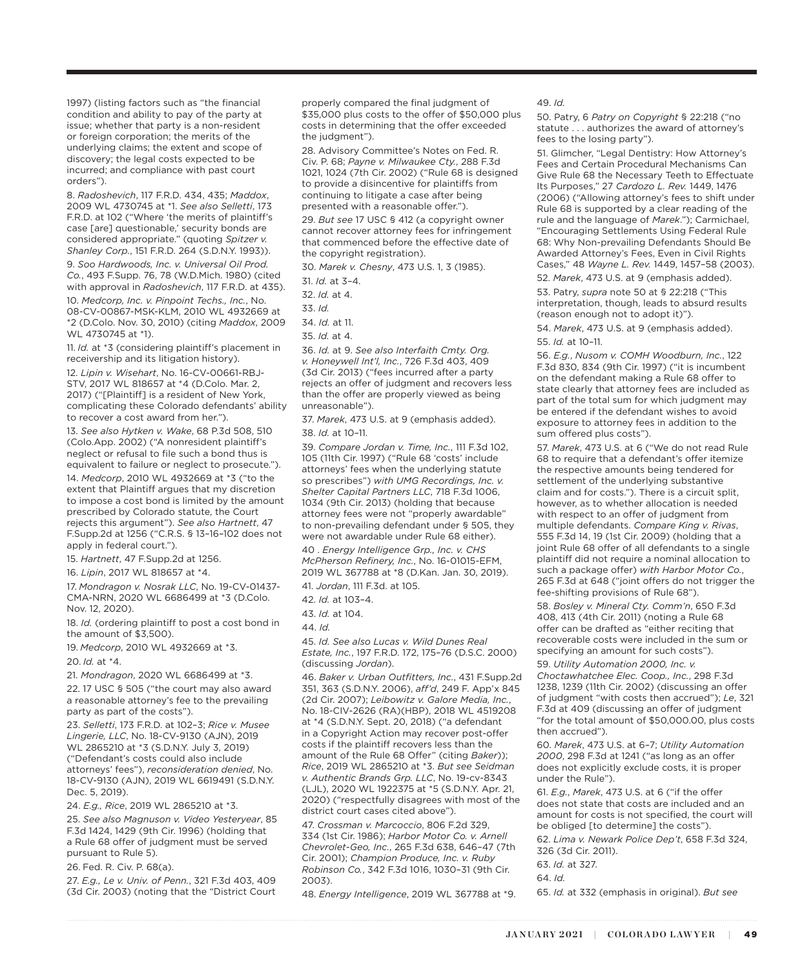1997) (listing factors such as "the financial condition and ability to pay of the party at issue; whether that party is a non-resident or foreign corporation; the merits of the underlying claims; the extent and scope of discovery; the legal costs expected to be incurred; and compliance with past court orders").

8. *Radoshevich*, 117 F.R.D. 434, 435; *Maddox*, 2009 WL 4730745 at \*1. *See also Selletti*, 173 F.R.D. at 102 ("Where 'the merits of plaintiff's case [are] questionable,' security bonds are considered appropriate." (quoting *Spitzer v. Shanley Corp.*, 151 F.R.D. 264 (S.D.N.Y. 1993)).

9. *Soo Hardwoods, Inc. v. Universal Oil Prod. Co.*, 493 F.Supp. 76, 78 (W.D.Mich. 1980) (cited with approval in *Radoshevich*, 117 F.R.D. at 435). 10. *Medcorp, Inc. v. Pinpoint Techs., Inc.*, No. 08-CV-00867-MSK-KLM, 2010 WL 4932669 at \*2 (D.Colo. Nov. 30, 2010) (citing *Maddox*, 2009 WI 4730745 at \*1).

11. *Id.* at \*3 (considering plaintiff's placement in receivership and its litigation history).

12. *Lipin v. Wisehart*, No. 16-CV-00661-RBJ-STV, 2017 WL 818657 at \*4 (D.Colo. Mar. 2, 2017) ("[Plaintiff] is a resident of New York, complicating these Colorado defendants' ability to recover a cost award from her.").

13. *See also Hytken v. Wake*, 68 P.3d 508, 510 (Colo.App. 2002) ("A nonresident plaintiff's neglect or refusal to file such a bond thus is equivalent to failure or neglect to prosecute.").

14. *Medcorp*, 2010 WL 4932669 at \*3 ("to the extent that Plaintiff argues that my discretion to impose a cost bond is limited by the amount prescribed by Colorado statute, the Court rejects this argument"). *See also Hartnett*, 47 F.Supp.2d at 1256 ("C.R.S. § 13–16–102 does not apply in federal court.").

15. *Hartnett*, 47 F.Supp.2d at 1256.

16. *Lipin*, 2017 WL 818657 at \*4.

17. *Mondragon v. Nosrak LLC*, No. 19-CV-01437- CMA-NRN, 2020 WL 6686499 at \*3 (D.Colo. Nov. 12, 2020).

18. *Id.* (ordering plaintiff to post a cost bond in the amount of \$3,500).

19. *Medcorp*, 2010 WL 4932669 at \*3.

20. *Id.* at \*4.

21. *Mondragon*, 2020 WL 6686499 at \*3.

22. 17 USC § 505 ("the court may also award a reasonable attorney's fee to the prevailing party as part of the costs").

23. *Selletti*, 173 F.R.D. at 102–3; *Rice v. Musee Lingerie, LLC*, No. 18-CV-9130 (AJN), 2019 WL 2865210 at \*3 (S.D.N.Y. July 3, 2019) ("Defendant's costs could also include attorneys' fees"), *reconsideration denied*, No. 18-CV-9130 (AJN), 2019 WL 6619491 (S.D.N.Y. Dec. 5, 2019).

24. *E.g., Rice*, 2019 WL 2865210 at \*3.

25. *See also Magnuson v. Video Yesteryear*, 85 F.3d 1424, 1429 (9th Cir. 1996) (holding that a Rule 68 offer of judgment must be served pursuant to Rule 5).

#### 26. Fed. R. Civ. P. 68(a).

27. *E.g., Le v. Univ. of Penn.*, 321 F.3d 403, 409 (3d Cir. 2003) (noting that the "District Court properly compared the final judgment of \$35,000 plus costs to the offer of \$50,000 plus costs in determining that the offer exceeded the judgment").

28. Advisory Committee's Notes on Fed. R. Civ. P. 68; *Payne v. Milwaukee Cty.*, 288 F.3d 1021, 1024 (7th Cir. 2002) ("Rule 68 is designed to provide a disincentive for plaintiffs from continuing to litigate a case after being presented with a reasonable offer.").

29. *But see* 17 USC § 412 (a copyright owner cannot recover attorney fees for infringement that commenced before the effective date of the copyright registration).

30. *Marek v. Chesny*, 473 U.S. 1, 3 (1985).

31. *Id.* at 3–4.

- 32. *Id.* at 4.
- 33. *Id.*
- 34. *Id.* at 11.
- 35. *Id.* at 4.

36. *Id.* at 9. *See also Interfaith Cmty. Org. v. Honeywell Int'l, Inc.*, 726 F.3d 403, 409 (3d Cir. 2013) ("fees incurred after a party rejects an offer of judgment and recovers less than the offer are properly viewed as being unreasonable").

37. *Marek*, 473 U.S. at 9 (emphasis added). 38. *Id.* at 10–11.

39. *Compare Jordan v. Time, Inc.*, 111 F.3d 102, 105 (11th Cir. 1997) ("Rule 68 'costs' include attorneys' fees when the underlying statute so prescribes") *with UMG Recordings, Inc. v. Shelter Capital Partners LLC*, 718 F.3d 1006, 1034 (9th Cir. 2013) (holding that because attorney fees were not "properly awardable" to non-prevailing defendant under § 505, they were not awardable under Rule 68 either).

40 . *Energy Intelligence Grp., Inc. v. CHS McPherson Refinery, Inc.*, No. 16-01015-EFM, 2019 WL 367788 at \*8 (D.Kan. Jan. 30, 2019).

41. *Jordan*, 111 F.3d. at 105.

42. *Id.* at 103–4.

43. *Id.* at 104.

44. *Id.*

45. *Id. See also Lucas v. Wild Dunes Real Estate, Inc.*, 197 F.R.D. 172, 175–76 (D.S.C. 2000) (discussing *Jordan*).

46. *Baker v. Urban Outfitters, Inc.*, 431 F.Supp.2d 351, 363 (S.D.N.Y. 2006), *aff'd*, 249 F. App'x 845 (2d Cir. 2007); *Leibowitz v. Galore Media, Inc.*, No. 18-CIV-2626 (RA)(HBP), 2018 WL 4519208 at \*4 (S.D.N.Y. Sept. 20, 2018) ("a defendant in a Copyright Action may recover post-offer costs if the plaintiff recovers less than the amount of the Rule 68 Offer" (citing *Baker*)); *Rice*, 2019 WL 2865210 at \*3. *But see Seidman v. Authentic Brands Grp. LLC*, No. 19-cv-8343 (LJL), 2020 WL 1922375 at \*5 (S.D.N.Y. Apr. 21, 2020) ("respectfully disagrees with most of the district court cases cited above").

47. *Crossman v. Marcoccio*, 806 F.2d 329, 334 (1st Cir. 1986); *Harbor Motor Co. v. Arnell Chevrolet-Geo, Inc.*, 265 F.3d 638, 646–47 (7th Cir. 2001); *Champion Produce, Inc. v. Ruby Robinson Co.*, 342 F.3d 1016, 1030–31 (9th Cir. 2003).

48. *Energy Intelligence*, 2019 WL 367788 at \*9.

49. *Id.*

50. Patry, 6 *Patry on Copyright* § 22:218 ("no statute . . . authorizes the award of attorney's fees to the losing party").

51. Glimcher, "Legal Dentistry: How Attorney's Fees and Certain Procedural Mechanisms Can Give Rule 68 the Necessary Teeth to Effectuate Its Purposes," 27 *Cardozo L. Rev.* 1449, 1476 (2006) ("Allowing attorney's fees to shift under Rule 68 is supported by a clear reading of the rule and the language of *Marek*."); Carmichael, "Encouraging Settlements Using Federal Rule 68: Why Non-prevailing Defendants Should Be Awarded Attorney's Fees, Even in Civil Rights Cases," 48 *Wayne L. Rev.* 1449, 1457–58 (2003). 52. *Marek*, 473 U.S. at 9 (emphasis added).

53. Patry, *supra* note 50 at § 22:218 ("This interpretation, though, leads to absurd results (reason enough not to adopt it)").

54. *Marek*, 473 U.S. at 9 (emphasis added). 55. *Id.* at 10–11.

56. *E.g.*, *Nusom v. COMH Woodburn, Inc.*, 122 F.3d 830, 834 (9th Cir. 1997) ("it is incumbent on the defendant making a Rule 68 offer to state clearly that attorney fees are included as part of the total sum for which judgment may be entered if the defendant wishes to avoid exposure to attorney fees in addition to the sum offered plus costs").

57. *Marek*, 473 U.S. at 6 ("We do not read Rule 68 to require that a defendant's offer itemize the respective amounts being tendered for settlement of the underlying substantive claim and for costs."). There is a circuit split, however, as to whether allocation is needed with respect to an offer of judgment from multiple defendants. *Compare King v. Rivas*, 555 F.3d 14, 19 (1st Cir. 2009) (holding that a joint Rule 68 offer of all defendants to a single plaintiff did not require a nominal allocation to such a package offer) *with Harbor Motor Co.*, 265 F.3d at 648 ("joint offers do not trigger the fee-shifting provisions of Rule 68").

58. *Bosley v. Mineral Cty. Comm'n*, 650 F.3d 408, 413 (4th Cir. 2011) (noting a Rule 68 offer can be drafted as "either reciting that recoverable costs were included in the sum or specifying an amount for such costs").

59. *Utility Automation 2000, Inc. v. Choctawhatchee Elec. Coop., Inc.*, 298 F.3d 1238, 1239 (11th Cir. 2002) (discussing an offer of judgment "with costs then accrued"); *Le*, 321 F.3d at 409 (discussing an offer of judgment "for the total amount of \$50,000.00, plus costs then accrued").

60. *Marek*, 473 U.S. at 6–7; *Utility Automation 2000*, 298 F.3d at 1241 ("as long as an offer does not explicitly exclude costs, it is proper under the Rule").

61. *E.g.*, *Marek*, 473 U.S. at 6 ("if the offer does not state that costs are included and an amount for costs is not specified, the court will be obliged [to determine] the costs").

62. *Lima v. Newark Police Dep't*, 658 F.3d 324, 326 (3d Cir. 2011).

63. *Id.* at 327.

64. *Id.*

65. *Id.* at 332 (emphasis in original). *But see*